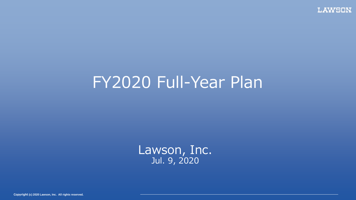## FY2020 Full-Year Plan

Lawson, Inc. Jul. 9, 2020

**Copyright (c) 2020 Lawson, Inc. All rights reserved. Copyright (c) 2020 Lawson, Inc. All rights reserved.**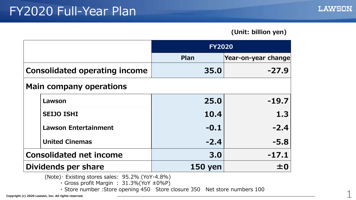## **(Unit: billion yen)**

|                                      |                             | <b>FY2020</b>  |                     |  |  |  |  |
|--------------------------------------|-----------------------------|----------------|---------------------|--|--|--|--|
|                                      |                             | Plan           | Year-on-year change |  |  |  |  |
| <b>Consolidated operating income</b> |                             | 35.0           | $-27.9$             |  |  |  |  |
| <b>Main company operations</b>       |                             |                |                     |  |  |  |  |
|                                      | Lawson                      | 25.0           | $-19.7$             |  |  |  |  |
|                                      | <b>SEIJO ISHI</b>           | 10.4           | 1.3                 |  |  |  |  |
|                                      | <b>Lawson Entertainment</b> | $-0.1$         | $-2.4$              |  |  |  |  |
|                                      | <b>United Cinemas</b>       | $-2.4$         | $-5.8$              |  |  |  |  |
| <b>Consolidated net income</b>       |                             | 3.0            | $-17.1$             |  |  |  |  |
| Dividends per share                  |                             | <b>150 yen</b> | ±0                  |  |  |  |  |

(Note)・ Existing stores sales: 95.2% (YoY-4.8%)

 $\cdot$  Gross profit Margin : 31.3%(YoY  $\pm$ 0%P)

**Copyright (c) 2020 Lawson, Inc. All rights reserved.** 1 ・ Store number :Store opening 450 Store closure 350 Net store numbers 100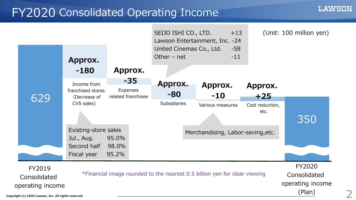## FY2020 Consolidated Operating Income



2

LAWSON